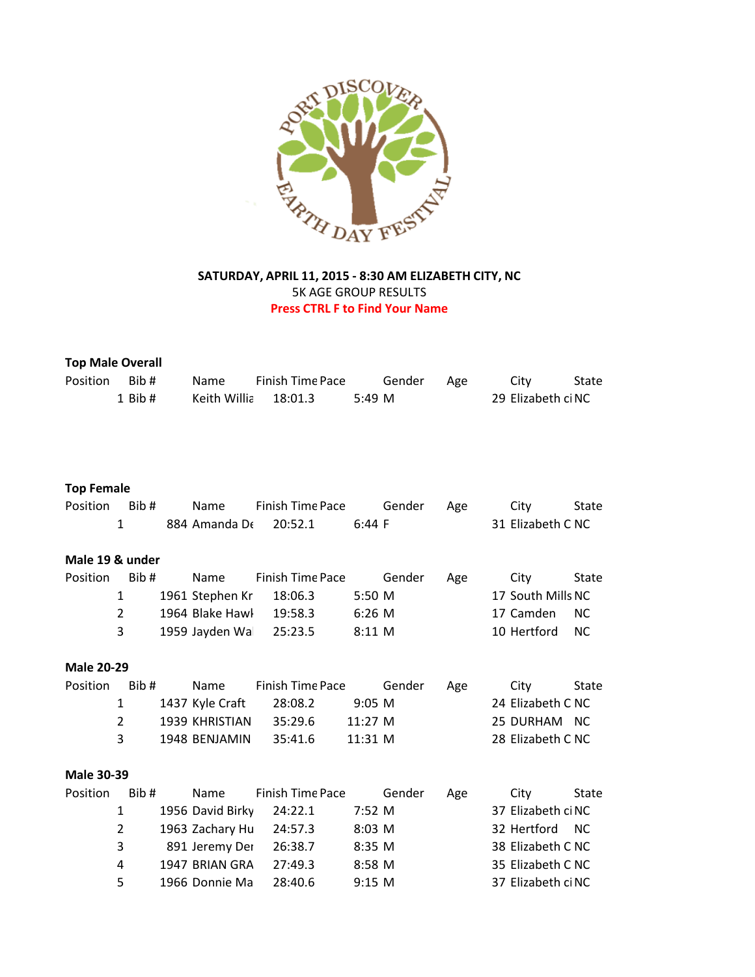

## **SATURDAY, APRIL 11, 2015 - 8:30 AM ELIZABETH CITY, NC** 5K AGE GROUP RESULTS **Press CTRL F to Find Your Name**

| <b>Top Male Overall</b> |                |  |                  |                         |             |        |     |                    |              |
|-------------------------|----------------|--|------------------|-------------------------|-------------|--------|-----|--------------------|--------------|
| Position                | Bib#           |  | Name             | <b>Finish Time Pace</b> |             | Gender | Age | City               | State        |
|                         | $1$ Bib $#$    |  | Keith Willia     | 18:01.3                 | 5:49 M      |        |     | 29 Elizabeth ci NC |              |
|                         |                |  |                  |                         |             |        |     |                    |              |
|                         |                |  |                  |                         |             |        |     |                    |              |
|                         |                |  |                  |                         |             |        |     |                    |              |
|                         |                |  |                  |                         |             |        |     |                    |              |
| <b>Top Female</b>       |                |  |                  |                         |             |        |     |                    |              |
| Position                | Bib#           |  | Name             | Finish Time Pace        |             | Gender | Age | City               | <b>State</b> |
|                         | $\mathbf{1}$   |  | 884 Amanda De    | 20:52.1                 | 6:44 F      |        |     | 31 Elizabeth C NC  |              |
|                         |                |  |                  |                         |             |        |     |                    |              |
| Male 19 & under         |                |  |                  |                         |             |        |     |                    |              |
| Position                | Bib#           |  | Name             | Finish Time Pace        |             | Gender | Age | City               | <b>State</b> |
|                         | $\mathbf{1}$   |  | 1961 Stephen Kr  | 18:06.3                 | 5:50 M      |        |     | 17 South Mills NC  |              |
|                         | $\overline{2}$ |  | 1964 Blake Hawl  | 19:58.3                 | 6:26 M      |        |     | 17 Camden          | <b>NC</b>    |
|                         | 3              |  | 1959 Jayden Wal  | 25:23.5                 | 8:11 M      |        |     | 10 Hertford        | <b>NC</b>    |
|                         |                |  |                  |                         |             |        |     |                    |              |
| <b>Male 20-29</b>       |                |  |                  |                         |             |        |     |                    |              |
| Position                | Bib#           |  | Name             | Finish Time Pace        |             | Gender | Age | City               | <b>State</b> |
|                         | $\mathbf{1}$   |  | 1437 Kyle Craft  | 28:08.2                 | $9:05$ M    |        |     | 24 Elizabeth C NC  |              |
|                         | $\overline{2}$ |  | 1939 KHRISTIAN   | 35:29.6                 | 11:27 M     |        |     | 25 DURHAM NC       |              |
|                         | 3              |  | 1948 BENJAMIN    | 35:41.6                 | 11:31 M     |        |     | 28 Elizabeth C NC  |              |
|                         |                |  |                  |                         |             |        |     |                    |              |
| <b>Male 30-39</b>       |                |  |                  |                         |             |        |     |                    |              |
| Position                | Bib#           |  | Name             | <b>Finish Time Pace</b> |             | Gender | Age | City               | <b>State</b> |
|                         | $\mathbf{1}$   |  | 1956 David Birky | 24:22.1                 | 7:52 M      |        |     | 37 Elizabeth ci NC |              |
|                         | $\overline{2}$ |  | 1963 Zachary Hu  | 24:57.3                 | $8:03 \, M$ |        |     | 32 Hertford        | <b>NC</b>    |
|                         | 3              |  | 891 Jeremy Der   | 26:38.7                 | 8:35 M      |        |     | 38 Elizabeth C NC  |              |
|                         | 4              |  | 1947 BRIAN GRA   | 27:49.3                 | 8:58 M      |        |     | 35 Elizabeth C NC  |              |

5 1966 Donnie Ma 28:40.6 9:15 M 37 Elizabeth ciNC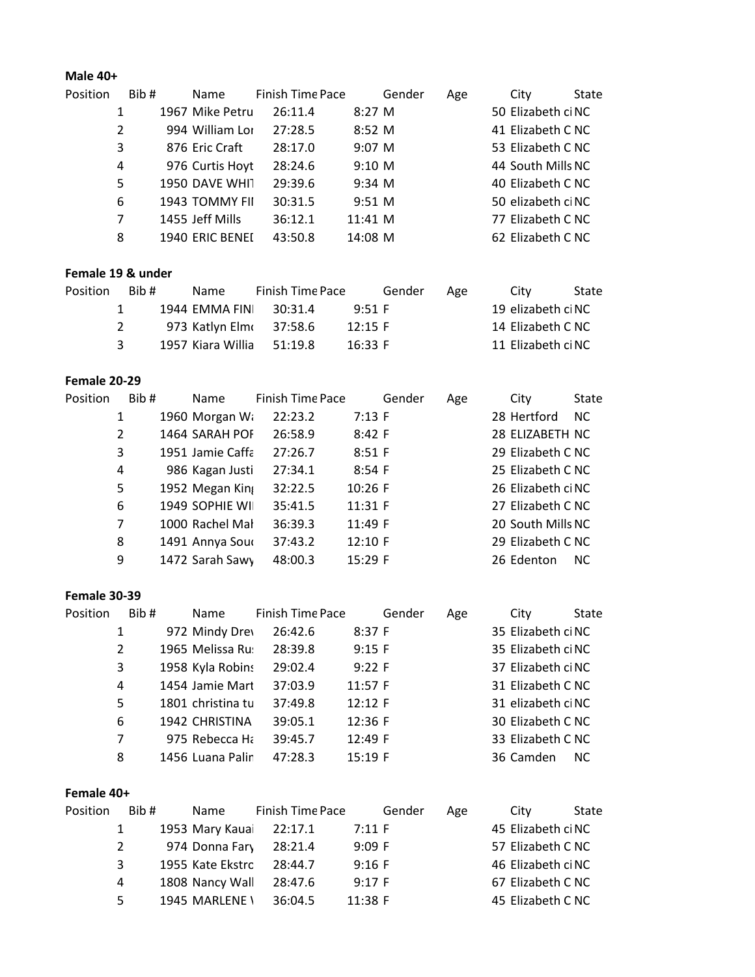### **Male 40+**

| Position | Bib# | Name            | <b>Finish Time Pace</b> |             | Gender | Age | City               | State |
|----------|------|-----------------|-------------------------|-------------|--------|-----|--------------------|-------|
|          | 1    | 1967 Mike Petru | 26:11.4                 | $8:27 \, M$ |        |     | 50 Elizabeth ci NC |       |
|          | 2    | 994 William Lor | 27:28.5                 | $8:52 \, M$ |        |     | 41 Elizabeth C NC  |       |
|          | 3    | 876 Eric Craft  | 28:17.0                 | $9:07 \, M$ |        |     | 53 Elizabeth C NC  |       |
|          | 4    | 976 Curtis Hoyt | 28:24.6                 | $9:10 \, M$ |        |     | 44 South Mills NC  |       |
|          | 5    | 1950 DAVE WHIT  | 29:39.6                 | 9:34 M      |        |     | 40 Elizabeth C NC  |       |
|          | 6    | 1943 TOMMY FII  | 30:31.5                 | $9:51 \, M$ |        |     | 50 elizabeth ci NC |       |
|          | 7    | 1455 Jeff Mills | 36:12.1                 | 11:41 M     |        |     | 77 Elizabeth C NC  |       |
|          | 8    | 1940 ERIC BENEI | 43:50.8                 | 14:08 M     |        |     | 62 Elizabeth C NC  |       |
|          |      |                 |                         |             |        |     |                    |       |

# **Female 19 & under**

| <b>Position</b> | Bib# | Name | <b>Finish Time Pace</b>   |           | Gender | Age | City               | State |
|-----------------|------|------|---------------------------|-----------|--------|-----|--------------------|-------|
|                 |      |      | 1944 EMMA FINI 30:31.4    | 9:51 F    |        |     | 19 elizabeth ci NC |       |
|                 |      |      | 973 Katlyn Elm (37:58.6   | $12:15$ F |        |     | 14 Elizabeth C NC  |       |
|                 |      |      | 1957 Kiara Willia 51:19.8 | 16:33 F   |        |     | 11 Elizabeth ci NC |       |

#### **Female 20-29**

| Position | Bib#           | Name             | Finish Time Pace | Gender  | Age | City               | <b>State</b> |
|----------|----------------|------------------|------------------|---------|-----|--------------------|--------------|
|          | 1              | 1960 Morgan Wa   | 22:23.2          | 7:13 F  |     | 28 Hertford        | <b>NC</b>    |
|          | $\overline{2}$ | 1464 SARAH POF   | 26:58.9          | 8:42 F  |     | 28 ELIZABETH NC    |              |
|          | 3              | 1951 Jamie Caffa | 27:26.7          | 8:51 F  |     | 29 Elizabeth C NC  |              |
|          | 4              | 986 Kagan Justi  | 27:34.1          | 8:54 F  |     | 25 Elizabeth C NC  |              |
|          | 5              | 1952 Megan King  | 32:22.5          | 10:26 F |     | 26 Elizabeth ci NC |              |
|          | 6              | 1949 SOPHIE WII  | 35:41.5          | 11:31 F |     | 27 Elizabeth C NC  |              |
|          | 7              | 1000 Rachel Mal  | 36:39.3          | 11:49 F |     | 20 South Mills NC  |              |
|          | 8              | 1491 Annya Sour  | 37:43.2          | 12:10 F |     | 29 Elizabeth C NC  |              |
|          | 9              | 1472 Sarah Sawy  | 48:00.3          | 15:29 F |     | 26 Edenton         | <b>NC</b>    |

#### **Female 30-39**

| Position | Bib# | Name              | Finish Time Pace |         | Gender | Age | City               | State |
|----------|------|-------------------|------------------|---------|--------|-----|--------------------|-------|
|          | 1    | 972 Mindy Drey    | 26:42.6          | 8:37 F  |        |     | 35 Elizabeth ci NC |       |
|          | 2    | 1965 Melissa Ru:  | 28:39.8          | 9:15 F  |        |     | 35 Elizabeth ci NC |       |
|          | 3    | 1958 Kyla Robins  | 29:02.4          | 9:22 F  |        |     | 37 Elizabeth ci NC |       |
|          | 4    | 1454 Jamie Mart   | 37:03.9          | 11:57 F |        |     | 31 Elizabeth C NC  |       |
|          | 5    | 1801 christina tu | 37:49.8          | 12:12 F |        |     | 31 elizabeth ci NC |       |
|          | 6    | 1942 CHRISTINA    | 39:05.1          | 12:36 F |        |     | 30 Elizabeth C NC  |       |
|          | 7    | 975 Rebecca Ha    | 39:45.7          | 12:49 F |        |     | 33 Elizabeth C NC  |       |
|          | 8    | 1456 Luana Palin  | 47:28.3          | 15:19 F |        |     | 36 Camden          | NC.   |

## **Female 40+**

| Position | Bib# | Name             | Finish Time Pace |         | Gender | Age | City               | State |
|----------|------|------------------|------------------|---------|--------|-----|--------------------|-------|
|          |      | 1953 Mary Kauai  | 22:17.1          | 7:11 F  |        |     | 45 Elizabeth ci NC |       |
|          | 2    | 974 Donna Fary   | 28:21.4          | 9:09 F  |        |     | 57 Elizabeth C NC  |       |
|          | २    | 1955 Kate Ekstro | 28:44.7          | 9:16 F  |        |     | 46 Elizabeth ci NC |       |
|          | 4    | 1808 Nancy Wall  | 28:47.6          | 9:17 F  |        |     | 67 Elizabeth C NC  |       |
|          | 5.   | 1945 MARLENE \   | 36:04.5          | 11:38 F |        |     | 45 Elizabeth C NC  |       |